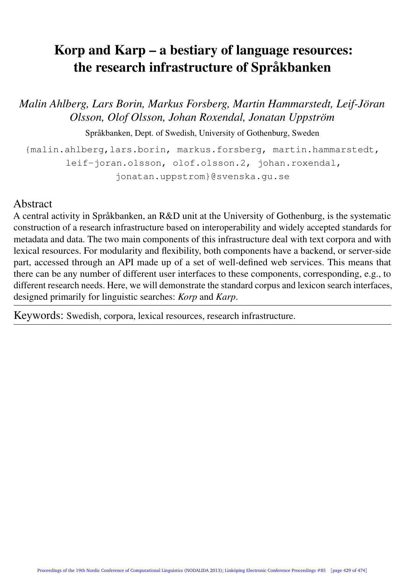# Korp and Karp – a bestiary of language resources: the research infrastructure of Språkbanken

*Malin Ahlberg, Lars Borin, Markus Forsberg, Martin Hammarstedt, Leif-Jöran Olsson, Olof Olsson, Johan Roxendal, Jonatan Uppström*

Språkbanken, Dept. of Swedish, University of Gothenburg, Sweden

{malin.ahlberg,lars.borin, markus.forsberg, martin.hammarstedt, leif-joran.olsson, olof.olsson.2, johan.roxendal, jonatan.uppstrom}@svenska.gu.se

#### Abstract

A central activity in Språkbanken, an R&D unit at the University of Gothenburg, is the systematic construction of a research infrastructure based on interoperability and widely accepted standards for metadata and data. The two main components of this infrastructure deal with text corpora and with lexical resources. For modularity and flexibility, both components have a backend, or server-side part, accessed through an API made up of a set of well-defined web services. This means that there can be any number of different user interfaces to these components, corresponding, e.g., to different research needs. Here, we will demonstrate the standard corpus and lexicon search interfaces, designed primarily for linguistic searches: *Korp* and *Karp*.

Keywords: Swedish, corpora, lexical resources, research infrastructure.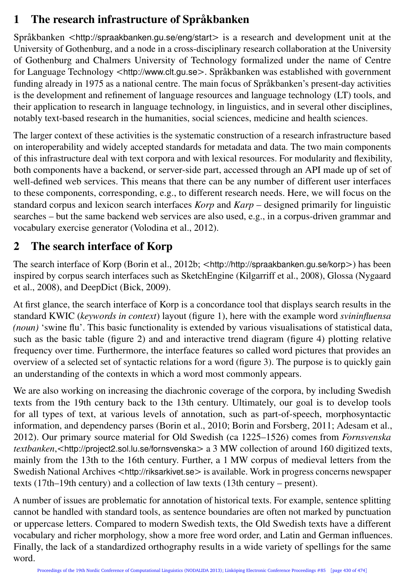# 1 The research infrastructure of Språkbanken

Språkbanken *<*http://spraakbanken.gu.se/eng/start*>* is a research and development unit at the University of Gothenburg, and a node in a cross-disciplinary research collaboration at the University of Gothenburg and Chalmers University of Technology formalized under the name of Centre for Language Technology *<*http://www.clt.gu.se*>*. Språkbanken was established with government funding already in 1975 as a national centre. The main focus of Språkbanken's present-day activities is the development and refinement of language resources and language technology (LT) tools, and their application to research in language technology, in linguistics, and in several other disciplines, notably text-based research in the humanities, social sciences, medicine and health sciences.

The larger context of these activities is the systematic construction of a research infrastructure based on interoperability and widely accepted standards for metadata and data. The two main components of this infrastructure deal with text corpora and with lexical resources. For modularity and flexibility, both components have a backend, or server-side part, accessed through an API made up of set of well-defined web services. This means that there can be any number of different user interfaces to these components, corresponding, e.g., to different research needs. Here, we will focus on the standard corpus and lexicon search interfaces *Korp* and *Karp* – designed primarily for linguistic searches – but the same backend web services are also used, e.g., in a corpus-driven grammar and vocabulary exercise generator (Volodina et al., 2012).

# 2 The search interface of Korp

The search interface of Korp (Borin et al., 2012b; *<*http://http://spraakbanken.gu.se/korp*>*) has been inspired by corpus search interfaces such as SketchEngine (Kilgarriff et al., 2008), Glossa (Nygaard et al., 2008), and DeepDict (Bick, 2009).

At first glance, the search interface of Korp is a concordance tool that displays search results in the standard KWIC (*keywords in context*) layout (figure 1), here with the example word *svininfluensa (noun)* 'swine flu'. This basic functionality is extended by various visualisations of statistical data, such as the basic table (figure 2) and and interactive trend diagram (figure 4) plotting relative frequency over time. Furthermore, the interface features so called word pictures that provides an overview of a selected set of syntactic relations for a word (figure 3). The purpose is to quickly gain an understanding of the contexts in which a word most commonly appears.

We are also working on increasing the diachronic coverage of the corpora, by including Swedish texts from the 19th century back to the 13th century. Ultimately, our goal is to develop tools for all types of text, at various levels of annotation, such as part-of-speech, morphosyntactic information, and dependency parses (Borin et al., 2010; Borin and Forsberg, 2011; Adesam et al., 2012). Our primary source material for Old Swedish (ca 1225–1526) comes from *Fornsvenska textbanken*,*<*http://project2.sol.lu.se/fornsvenska*>* a 3 MW collection of around 160 digitized texts, mainly from the 13th to the 16th century. Further, a 1 MW corpus of medieval letters from the Swedish National Archives *<*http://riksarkivet.se*>* is available. Work in progress concerns newspaper texts (17th–19th century) and a collection of law texts (13th century – present).

A number of issues are problematic for annotation of historical texts. For example, sentence splitting cannot be handled with standard tools, as sentence boundaries are often not marked by punctuation or uppercase letters. Compared to modern Swedish texts, the Old Swedish texts have a different vocabulary and richer morphology, show a more free word order, and Latin and German influences. Finally, the lack of a standardized orthography results in a wide variety of spellings for the same word.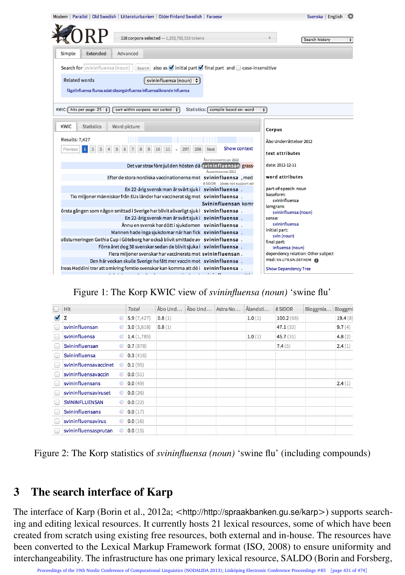| Modern   Parallel   Old Swedish   Litteraturbanken   Older Finland Swedish   Faroese                                                  | Svenska   English                                             |
|---------------------------------------------------------------------------------------------------------------------------------------|---------------------------------------------------------------|
|                                                                                                                                       |                                                               |
| 118 corpora selected $-1,253,702,515$ tokens                                                                                          | Search history<br>÷                                           |
| Simple<br>Extended<br>Advanced                                                                                                        |                                                               |
| Search also as vinitial part vinal part and ○ case-insensitive<br>Search for svininfluensa (noun)                                     |                                                               |
| <b>Related words</b><br>svininfluensa (noun) $\div$                                                                                   |                                                               |
| fågelinfluensa flunsa asiat säsongsinfluensa influensaliknande influensa                                                              |                                                               |
|                                                                                                                                       |                                                               |
| KWIC: hits per page: 25 :<br>sort within corpora: not sorted $\left  \right $<br>Statistics:   compile based on: word                 | €                                                             |
| <b>KWIC</b><br><b>Statistics</b><br>Word picture                                                                                      | <b>Corpus</b>                                                 |
| <b>Results: 7,427</b>                                                                                                                 | Åbo Underrättelser 2012                                       |
| Show context<br>298<br><b>Next</b><br>Previous<br>9<br>10<br>297                                                                      |                                                               |
| ÅRO UNDERRÄTTELSER 2012                                                                                                               | text attributes                                               |
| Det var strax före jul den hösten då svininfluensan) grass<br>ALANDSTIDNINGEN 2012                                                    | date: 2012-12-11                                              |
| Efter de stora nordiska vaccinationerna mot svininfluensa, med                                                                        | word attributes                                               |
| 8 SIDOR (does not support exi<br>En 22-årig svensk man är svårt sjuk i svininfluensa.                                                 | part-of-speech: noun                                          |
| Tio miljoner människor från EUs länder har vaccinerat sig mot svininfluensa.                                                          | baseform:<br>svininfluensa                                    |
| Svininfluensan komr                                                                                                                   | lemgram:                                                      |
| örsta gången som någon smittad i Sverige har blivit allvarligt sjuk i svininfluensa.                                                  | svininfluensa (noun)                                          |
| En 22-årig svensk man är svårt sjuk i svininfluensa.                                                                                  | sense:<br>svininfluensa                                       |
| Ännu en svensk har dött i sjukdomen svininfluensa.                                                                                    | initial part:                                                 |
| Mannen hade inga sjukdomar när han fick svininfluensa.                                                                                | svin (noun)                                                   |
| ollsturneringen Gothia Cup i Göteborg har också blivit smittade av svininfluensa.                                                     | final part:                                                   |
| Förra året dog 30 svenskar sedan de blivit sjuka i svininfluensa.                                                                     | influensa (noun)                                              |
| Flera miljoner svenskar har vaccinerats mot svininfluensan.                                                                           | dependency relation: Other subject<br>msd: NN.UTR.SIN.DEF.NOM |
| Den här veckan skulle Sverige ha fått mer vaccin mot svininfluensa.                                                                   |                                                               |
| Ireas Heddini tror att omkring femtio svenskar kan komma att dö i svininfluensa.<br>all cancel and a construction of the construction | <b>Show Dependency Tree</b>                                   |

#### Figure 1: The Korp KWIC view of *svininfluensa (noun)* 'swine flu'

| $\Box$          | <b>Hit</b>            |   | <b>Total</b> | Åbo Und | Åbo Und | Astra No | Ålandsti | 8 SIDOR   | Bloggmix | Bloggmi |
|-----------------|-----------------------|---|--------------|---------|---------|----------|----------|-----------|----------|---------|
| M               | Σ                     |   | 5.9(7, 427)  | 0.8(1)  |         |          | 1.0(1)   | 100.2(68) |          | 19.4(8) |
|                 | svininfluensan        |   | 3.0(3,818)   | 0.8(1)  |         |          |          | 47.1(32)  |          | 9.7(4)  |
|                 | svininfluensa         | ÷ | 1.4(1,785)   |         |         |          | 1.0(1)   | 45.7(31)  |          | 4.8(2)  |
|                 | Svininfluensan        | ÷ | 0.7(878)     |         |         |          |          | 7.4(5)    |          | 2.4(1)  |
| <b>Contract</b> | Svininfluensa         |   | 0.3(416)     |         |         |          |          |           |          |         |
|                 | svininfluensavaccinet |   | 0.1(95)      |         |         |          |          |           |          |         |
|                 | svininfluensavaccin   | ÷ | 0.0(51)      |         |         |          |          |           |          |         |
| m               | svininfluensans       | ÷ | 0.0(49)      |         |         |          |          |           |          | 2.4(1)  |
|                 | svininfluensaviruset  | ÷ | 0.0(26)      |         |         |          |          |           |          |         |
| f and           | <b>SVININFLUENSAN</b> | ÷ | 0.0(22)      |         |         |          |          |           |          |         |
|                 | Svininfluensans       | ÷ | 0.0(17)      |         |         |          |          |           |          |         |
|                 | svininfluensavirus    | ÷ | 0.0(16)      |         |         |          |          |           |          |         |
|                 | svininfluensasprutan  | ÷ | 0.0(15)      |         |         |          |          |           |          |         |

Figure 2: The Korp statistics of *svininfluensa (noun)* 'swine flu' (including compounds)

### 3 The search interface of Karp

The interface of Karp (Borin et al., 2012a;  $\langle$ http://http://spraakbanken.gu.se/karp>) supports searching and editing lexical resources. It currently hosts 21 lexical resources, some of which have been created from scratch using existing free resources, both external and in-house. The resources have been converted to the Lexical Markup Framework format (ISO, 2008) to ensure uniformity and interchangeability. The infrastructure has one primary lexical resource, SALDO (Borin and Forsberg,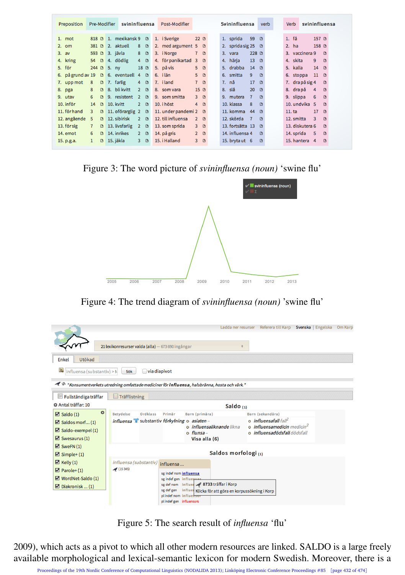| Preposition       | Pre-Modifier        |            | svininfluensa    |                          |   | Post-Modifier                  |                 |          |    | Svininfluensa    |                 | verb         |  | Verb               |                  | svininfluensa |
|-------------------|---------------------|------------|------------------|--------------------------|---|--------------------------------|-----------------|----------|----|------------------|-----------------|--------------|--|--------------------|------------------|---------------|
| 1. mot            | 818 B               |            | 1. mexikansk 9   |                          | G | 1. i Sverige                   | 22B             |          |    | 1. sprida        | 59              | $\Box$       |  | $1. f\mathring{a}$ | 157 B            |               |
| 2. om             | 381 D               |            | 2. aktuell       | 8                        | G | 2. med argument $5 \quad \Box$ |                 |          |    | 2. sprida sig 25 |                 | $\circ$      |  | $2.$ ha            | 158 D            |               |
| 3. a <sub>v</sub> | 593 LB              | 3. jävla   |                  | 8<br>G                   |   | 3. iNorge                      | $7^{\circ}$     | $\Box$   | 3. | vara             | 228 酉           |              |  | 3. vaccinera 9     |                  | G             |
| 4. kring          | $\Box$<br>54        |            | 4. dödlig        | $\overline{4}$<br>$\Box$ |   | 4. för panikartad              | 3 <sup>0</sup>  |          |    | 4. härja         | 13 <sup>°</sup> | $\Box$       |  | 4. skita           | 9                | <b>n</b>      |
| 5. för            | $244$ $\Box$        | $5. \n mV$ |                  | $18$ $\Box$              |   | 5. på vis                      | 5 <sub>0</sub>  |          |    | 5. drabba        | 14              | <b>n</b>     |  | 5. kalla           | 14 <sup>14</sup> | $\Box$        |
| 6. på grund av 19 | $\Box$              |            | 6. eventuell 4   |                          | G | 6. ilän                        | 5 <sup>1</sup>  | $\Box$   |    | 6. smitta        | 9               | $\mathbb{R}$ |  | 6. stoppa          | 11               | D             |
| 7. upp mot        | 8<br>$\Box$         |            | 7. farlig        | 4                        | G | 7. iland                       | 7 B             |          |    | 7. nå            | 17              | $\Box$       |  | 7. dra på sig 4    |                  | G             |
| 8. pga            | 8<br>$\Box$         | 8.         | bli kvitt        | $\overline{2}$           | G | 8. som vara                    | 15 <sup>°</sup> |          | 8. | slå              | 20              | $\Box$       |  | 8. drapå           | $\overline{4}$   | G             |
| 9. utav           | 6<br>$\Box$         |            | 9. resistent     | $\overline{2}$           | G | 9. som smitta                  | 3 <sup>0</sup>  |          |    | 9. mutera        | $\overline{7}$  | $\Box$       |  | 9. slippa          | 6                | G             |
| 10. inför         | 14<br>$\Box$        |            | 10. kvitt        | $\overline{2}$<br>$\Box$ |   | 10. i höst                     | 4               | $\Box$   |    | 10. klassa       | 8               | $\Box$       |  | 10. undvika 5      |                  | G             |
| 11. för hand      | 3<br>G              |            | 11. oförarglig 2 | G                        |   | 11. under pandemi 2            |                 | $\Box$   |    | 11. komma        | 44              | $\Box$       |  | 11. t <sub>a</sub> | 17               | G             |
| 12. angående      | 5<br>$\Box$         |            | 12. sibirisk     | $\mathbf{p}$<br><b>n</b> |   | 12. till influensa             | $\overline{2}$  | $\Omega$ |    | 12. skörda       | $\overline{7}$  | $\mathbb{R}$ |  | 12. smitta         | 3                | <b>n</b>      |
| 13. för sig       | $\overline{7}$<br>G |            | 13. livsfarlig   | $\overline{2}$<br>G      |   | 13. som sprida                 | 3 <sup>1</sup>  | $\Box$   |    | 13. fortsätta 13 |                 | $\Box$       |  | 13. diskutera 6    |                  | <b>D</b>      |
| 14. emot          | 6<br>$\Box$         |            | 14. inrikes      | $\overline{2}$<br>D      |   | 14. på gris                    | $\overline{2}$  | $\Box$   |    | 14. influensa 4  |                 | $\Box$       |  | 14. sprida         | 5                | D             |
| 15. p.g.a.        | $\mathbf{1}$<br>G   |            | 15. jäkla        | 3<br>G                   |   | 15. i Halland                  | 3 <sup>0</sup>  |          |    | 15. bryta ut 6   |                 | $\Box$       |  | 15. hantera        | $\overline{4}$   | D             |

Figure 3: The word picture of *svininfluensa (noun)* 'swine flu'



Figure 4: The trend diagram of *svininfluensa (noun)* 'swine flu'

|                                         |                                                             |                                                                                                                                                               |                                                                                 | Ladda ner resurser Referera till Karp Svenska   Engelska Om Karp |
|-----------------------------------------|-------------------------------------------------------------|---------------------------------------------------------------------------------------------------------------------------------------------------------------|---------------------------------------------------------------------------------|------------------------------------------------------------------|
|                                         | 21 lexikonresurser valda (alla) - 673 690 ingångar          |                                                                                                                                                               |                                                                                 |                                                                  |
| Utökad<br><b>Enkel</b>                  |                                                             |                                                                                                                                                               |                                                                                 |                                                                  |
| $\mathbb{R}$ influensa (substantiv) > M | $\Box$ via diapivot<br>Sök                                  |                                                                                                                                                               |                                                                                 |                                                                  |
|                                         |                                                             | " Konsumentverkets utredning omfattade mediciner för <b>influensa</b> , halsbränna, hosta och värk."                                                          |                                                                                 |                                                                  |
| Fullständiga träffar<br>脚               | $\Box$ Träfflistning                                        |                                                                                                                                                               |                                                                                 |                                                                  |
| Antal träffar: 10                       |                                                             | Saldo <sub>(1)</sub>                                                                                                                                          |                                                                                 |                                                                  |
| 0<br>$\boxtimes$ Saldo (1)              | Betydelse<br>Ordklass<br>Primär                             | Barn (primära)                                                                                                                                                | Barn (sekundära)                                                                |                                                                  |
| $\boxtimes$ Saldos morf (1)             | influensa $\bullet$ substantiv förkylning $\circ$ asiaten - |                                                                                                                                                               | $\circ$ influensafall fall <sup>2</sup>                                         |                                                                  |
| $\boxtimes$ Saldo-exempel (1)           |                                                             | o influensaliknande likna<br>$o$ flunsa –                                                                                                                     | $\bullet$ influensamedicin medicin <sup>2</sup><br>o influensadödsfall dödsfall |                                                                  |
| $\boxtimes$ Swesaurus (1)               |                                                             | Visa alla (6)                                                                                                                                                 |                                                                                 |                                                                  |
| $\boxtimes$ SweFN(1)                    |                                                             |                                                                                                                                                               |                                                                                 |                                                                  |
| $\boxtimes$ Simple+(1)                  |                                                             | Saldos morfologi(1)                                                                                                                                           |                                                                                 |                                                                  |
| $\blacksquare$ Kelly (1)                | influensa (substantiv)<br>influensa                         |                                                                                                                                                               |                                                                                 |                                                                  |
| $P$ arole+ $(1)$                        | (15345)                                                     | sg indef nom influensa                                                                                                                                        |                                                                                 |                                                                  |
| WordNet-Saldo (1)                       |                                                             | sg indef gen influences                                                                                                                                       |                                                                                 |                                                                  |
| $\Box$ Diakronisk  (1)                  |                                                             | sg def nom influer 3733 träffar i Korp<br>sg def gen influe Klicka för att göra en korpussökning i Korp<br>plindef nom influensor<br>pl indef gen influensors |                                                                                 |                                                                  |

Figure 5: The search result of *influensa* 'flu'

2009), which acts as a pivot to which all other modern resources are linked. SALDO is a large freely available morphological and lexical-semantic lexicon for modern Swedish. Moreover, there is a